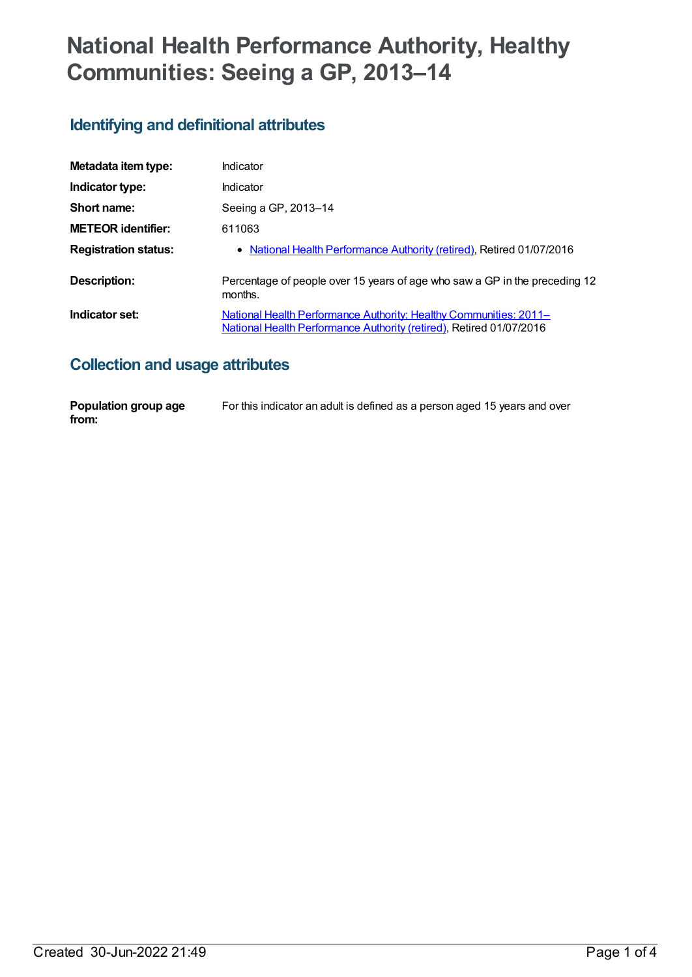# **National Health Performance Authority, Healthy Communities: Seeing a GP, 2013–14**

# **Identifying and definitional attributes**

| Metadata item type:         | Indicator                                                                                                                                |
|-----------------------------|------------------------------------------------------------------------------------------------------------------------------------------|
| Indicator type:             | Indicator                                                                                                                                |
| Short name:                 | Seeing a GP, 2013-14                                                                                                                     |
| <b>METEOR identifier:</b>   | 611063                                                                                                                                   |
| <b>Registration status:</b> | • National Health Performance Authority (retired), Retired 01/07/2016                                                                    |
| <b>Description:</b>         | Percentage of people over 15 years of age who saw a GP in the preceding 12<br>months.                                                    |
| Indicator set:              | National Health Performance Authority: Healthy Communities: 2011-<br>National Health Performance Authority (retired), Retired 01/07/2016 |

#### **Collection and usage attributes**

| Population group age | For this indicator an adult is defined as a person aged 15 years and over |
|----------------------|---------------------------------------------------------------------------|
| from:                |                                                                           |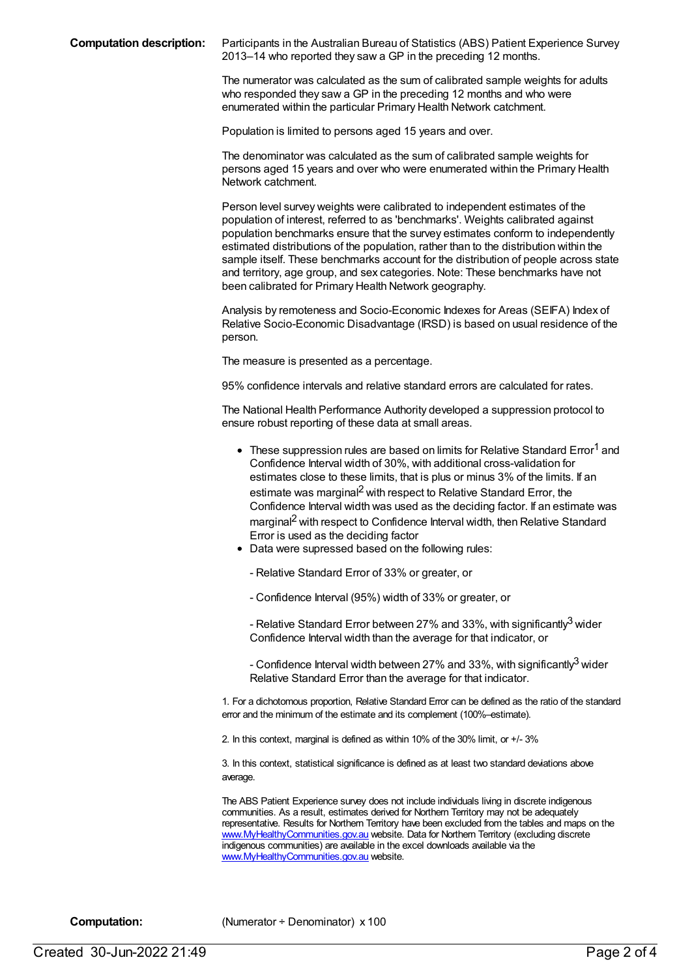**Computation description:** Participants in the Australian Bureau of Statistics (ABS) Patient Experience Survey 2013–14 who reported they saw a GP in the preceding 12 months.

> The numerator was calculated as the sum of calibrated sample weights for adults who responded they saw a GP in the preceding 12 months and who were enumerated within the particular Primary Health Network catchment.

Population is limited to persons aged 15 years and over.

The denominator was calculated as the sum of calibrated sample weights for persons aged 15 years and over who were enumerated within the Primary Health Network catchment.

Person level survey weights were calibrated to independent estimates of the population of interest, referred to as 'benchmarks'. Weights calibrated against population benchmarks ensure that the survey estimates conform to independently estimated distributions of the population, rather than to the distribution within the sample itself. These benchmarks account for the distribution of people across state and territory, age group, and sex categories. Note: These benchmarks have not been calibrated for Primary Health Network geography.

Analysis by remoteness and Socio-Economic Indexes for Areas (SEIFA) Index of Relative Socio-Economic Disadvantage (IRSD) is based on usual residence of the person.

The measure is presented as a percentage.

95% confidence intervals and relative standard errors are calculated for rates.

The National Health Performance Authority developed a suppression protocol to ensure robust reporting of these data at small areas.

- $\bullet~$  These suppression rules are based on limits for Relative Standard Error<sup>1</sup> and Confidence Interval width of 30%, with additional cross-validation for estimates close to these limits, that is plus or minus 3% of the limits. If an estimate was marginal<sup>2</sup> with respect to Relative Standard Error, the Confidence Interval width was used as the deciding factor. If an estimate was marginal<sup>2</sup> with respect to Confidence Interval width, then Relative Standard Error is used as the deciding factor
- Data were supressed based on the following rules:
	- Relative Standard Error of 33% or greater, or
	- Confidence Interval (95%) width of 33% or greater, or

- Relative Standard Error between 27% and 33%, with significantly $^3$  wider Confidence Interval width than the average for that indicator, or

- Confidence Interval width between 27% and 33%, with significantly $^3$  wider Relative Standard Error than the average for that indicator.

1. For a dichotomous proportion, Relative Standard Error can be defined as the ratio of the standard error and the minimum of the estimate and its complement (100%–estimate).

2. In this context, marginal is defined as within 10% of the 30% limit, or +/- 3%

3. In this context, statistical significance is defined as at least two standard deviations above average.

The ABS Patient Experience survey does not include individuals living in discrete indigenous communities. As a result, estimates derived for Northern Territory may not be adequately representative. Results for Northern Territory have been excluded from the tables and maps on the [www.MyHealthyCommunities.gov.au](http://www.myhealthycommunities.gov.au) website. Data for Northern Territory (excluding discrete indigenous communities) are available in the excel downloads available via the [www.MyHealthyCommunities.gov.au](http://www.myhealthycommunities.gov.au) website.

**Computation:** (Numerator ÷ Denominator) x 100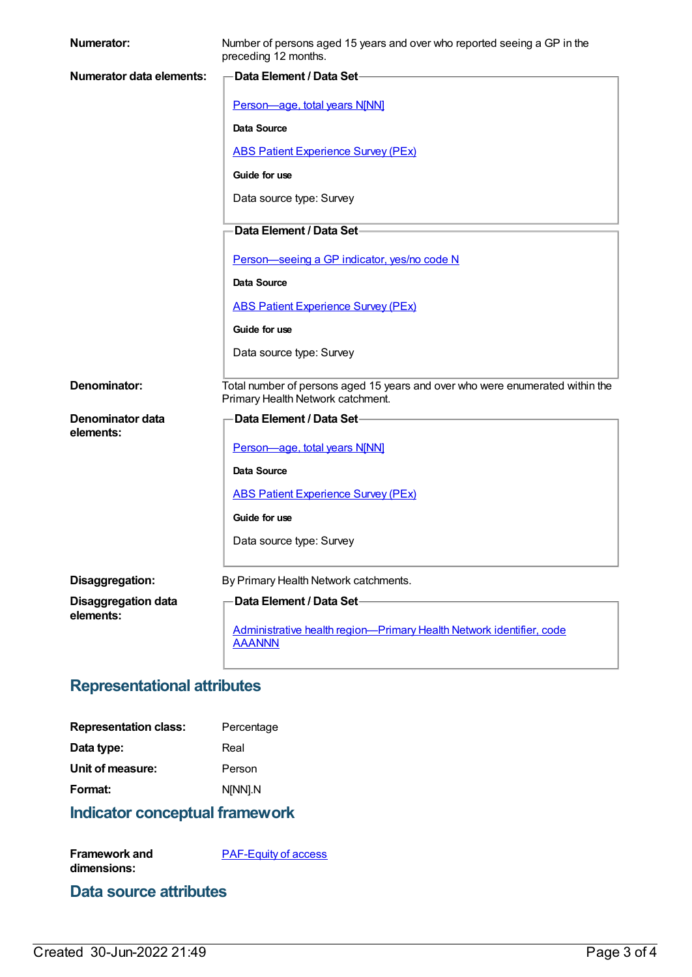| <b>Numerator:</b>          | Number of persons aged 15 years and over who reported seeing a GP in the<br>preceding 12 months.                   |
|----------------------------|--------------------------------------------------------------------------------------------------------------------|
| Numerator data elements:   | Data Element / Data Set-                                                                                           |
|                            | Person-age, total years N[NN]                                                                                      |
|                            | <b>Data Source</b>                                                                                                 |
|                            | <b>ABS Patient Experience Survey (PEx)</b>                                                                         |
|                            | Guide for use                                                                                                      |
|                            | Data source type: Survey                                                                                           |
|                            | Data Element / Data Set-                                                                                           |
|                            | Person-seeing a GP indicator, yes/no code N                                                                        |
|                            | <b>Data Source</b>                                                                                                 |
|                            | <b>ABS Patient Experience Survey (PEx)</b>                                                                         |
|                            | Guide for use                                                                                                      |
|                            | Data source type: Survey                                                                                           |
| Denominator:               | Total number of persons aged 15 years and over who were enumerated within the<br>Primary Health Network catchment. |
| Denominator data           | Data Element / Data Set-                                                                                           |
| elements:                  | Person-age, total years N[NN]                                                                                      |
|                            | Data Source                                                                                                        |
|                            | <b>ABS Patient Experience Survey (PEx)</b>                                                                         |
|                            | Guide for use                                                                                                      |
|                            | Data source type: Survey                                                                                           |
| Disaggregation:            | By Primary Health Network catchments.                                                                              |
| <b>Disaggregation data</b> | Data Element / Data Set-                                                                                           |
| elements:                  | Administrative health region-Primary Health Network identifier, code                                               |
|                            | <b>AAANNN</b>                                                                                                      |

## **Representational attributes**

| <b>Representation class:</b> | Percentage |
|------------------------------|------------|
| Data type:                   | Real       |
| Unit of measure:             | Person     |
| Format:                      | N[NN].N    |
|                              |            |

# **Indicator conceptual framework**

[PAF-Equity](https://meteor.aihw.gov.au/content/554927) of access

#### **Data source attributes**

**Framework and dimensions:**